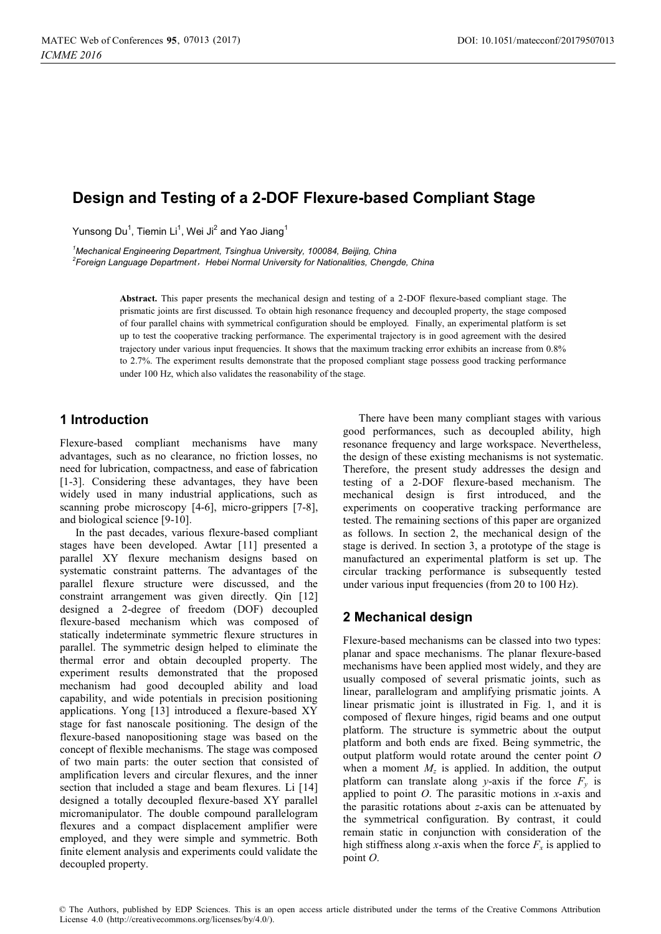# **Design and Testing of a 2-DOF Flexure-based Compliant Stage**

Yunsong Du $^1$ , Tiemin Li $^1$ , Wei Ji $^2$  and Yao Jiang $^1$ 

<sup>1</sup>Mechanical Engineering Department, Tsinghua University, 100084, Beijing, China<br><sup>2</sup>Eernian Language Department – Hobei Nermal University for Nationalities, Chenge <sup>2</sup> Foreign Language Department, Hebei Normal University for Nationalities, Chengde, China

> **Abstract.** This paper presents the mechanical design and testing of a 2-DOF flexure-based compliant stage. The prismatic joints are first discussed. To obtain high resonance frequency and decoupled property, the stage composed of four parallel chains with symmetrical configuration should be employed. Finally, an experimental platform is set up to test the cooperative tracking performance. The experimental trajectory is in good agreement with the desired trajectory under various input frequencies. It shows that the maximum tracking error exhibits an increase from 0.8% to 2.7%. The experiment results demonstrate that the proposed compliant stage possess good tracking performance under 100 Hz, which also validates the reasonability of the stage.

# **1 Introduction**

Flexure-based compliant mechanisms have many advantages, such as no clearance, no friction losses, no need for lubrication, compactness, and ease of fabrication [1-3]. Considering these advantages, they have been widely used in many industrial applications, such as scanning probe microscopy [4-6], micro-grippers [7-8], and biological science [9-10].

In the past decades, various flexure-based compliant stages have been developed. Awtar [11] presented a parallel XY flexure mechanism designs based on systematic constraint patterns. The advantages of the parallel flexure structure were discussed, and the constraint arrangement was given directly. Qin [12] designed a 2-degree of freedom (DOF) decoupled flexure-based mechanism which was composed of statically indeterminate symmetric flexure structures in parallel. The symmetric design helped to eliminate the thermal error and obtain decoupled property. The experiment results demonstrated that the proposed mechanism had good decoupled ability and load capability, and wide potentials in precision positioning applications. Yong [13] introduced a flexure-based XY stage for fast nanoscale positioning. The design of the flexure-based nanopositioning stage was based on the concept of flexible mechanisms. The stage was composed of two main parts: the outer section that consisted of amplification levers and circular flexures, and the inner section that included a stage and beam flexures. Li [14] designed a totally decoupled flexure-based XY parallel micromanipulator. The double compound parallelogram flexures and a compact displacement amplifier were employed, and they were simple and symmetric. Both finite element analysis and experiments could validate the decoupled property.

There have been many compliant stages with various good performances, such as decoupled ability, high resonance frequency and large workspace. Nevertheless, the design of these existing mechanisms is not systematic. Therefore, the present study addresses the design and testing of a 2-DOF flexure-based mechanism. The mechanical design is first introduced, and the experiments on cooperative tracking performance are tested. The remaining sections of this paper are organized as follows. In section 2, the mechanical design of the stage is derived. In section 3, a prototype of the stage is manufactured an experimental platform is set up. The circular tracking performance is subsequently tested under various input frequencies (from 20 to 100 Hz).

## **2 Mechanical design**

Flexure-based mechanisms can be classed into two types: planar and space mechanisms. The planar flexure-based mechanisms have been applied most widely, and they are usually composed of several prismatic joints, such as linear, parallelogram and amplifying prismatic joints. A linear prismatic joint is illustrated in Fig. 1, and it is composed of flexure hinges, rigid beams and one output platform. The structure is symmetric about the output platform and both ends are fixed. Being symmetric, the output platform would rotate around the center point *O* when a moment  $M_z$  is applied. In addition, the output platform can translate along *y*-axis if the force  $F_y$  is applied to point *O*. The parasitic motions in *x*-axis and the parasitic rotations about *z*-axis can be attenuated by the symmetrical configuration. By contrast, it could remain static in conjunction with consideration of the high stiffness along *x*-axis when the force  $F_x$  is applied to point *O*.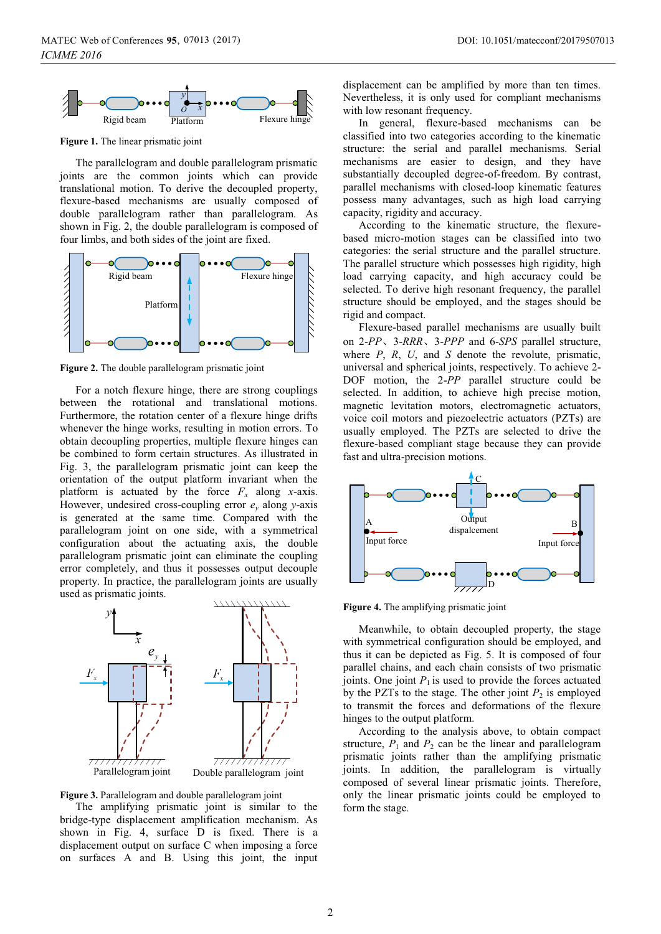

**Figure 1.** The linear prismatic joint

The parallelogram and double parallelogram prismatic joints are the common joints which can provide translational motion. To derive the decoupled property, flexure-based mechanisms are usually composed of double parallelogram rather than parallelogram. As shown in Fig. 2, the double parallelogram is composed of four limbs, and both sides of the joint are fixed.



**Figure 2.** The double parallelogram prismatic joint

For a notch flexure hinge, there are strong couplings between the rotational and translational motions. Furthermore, the rotation center of a flexure hinge drifts whenever the hinge works, resulting in motion errors. To obtain decoupling properties, multiple flexure hinges can be combined to form certain structures. As illustrated in Fig. 3, the parallelogram prismatic joint can keep the orientation of the output platform invariant when the platform is actuated by the force  $F_x$  along *x*-axis. However, undesired cross-coupling error *ey* along *y*-axis is generated at the same time. Compared with the parallelogram joint on one side, with a symmetrical configuration about the actuating axis, the double parallelogram prismatic joint can eliminate the coupling error completely, and thus it possesses output decouple property. In practice, the parallelogram joints are usually used as prismatic joints.



**Figure 3.** Parallelogram and double parallelogram joint

The amplifying prismatic joint is similar to the bridge-type displacement amplification mechanism. As shown in Fig. 4, surface D is fixed. There is a displacement output on surface C when imposing a force on surfaces A and B. Using this joint, the input

displacement can be amplified by more than ten times. Nevertheless, it is only used for compliant mechanisms with low resonant frequency.

In general, flexure-based mechanisms can be classified into two categories according to the kinematic structure: the serial and parallel mechanisms. Serial mechanisms are easier to design, and they have substantially decoupled degree-of-freedom. By contrast, parallel mechanisms with closed-loop kinematic features possess many advantages, such as high load carrying capacity, rigidity and accuracy.

According to the kinematic structure, the flexurebased micro-motion stages can be classified into two categories: the serial structure and the parallel structure. The parallel structure which possesses high rigidity, high load carrying capacity, and high accuracy could be selected. To derive high resonant frequency, the parallel structure should be employed, and the stages should be rigid and compact.

Flexure-based parallel mechanisms are usually built on 2-*PP*ǃ3-*RRR*ǃ3-*PPP* and 6-*SPS* parallel structure, where *P*, *R*, *U*, and *S* denote the revolute, prismatic, universal and spherical joints, respectively. To achieve 2- DOF motion, the 2-*PP* parallel structure could be selected. In addition, to achieve high precise motion, magnetic levitation motors, electromagnetic actuators, voice coil motors and piezoelectric actuators (PZTs) are usually employed. The PZTs are selected to drive the flexure-based compliant stage because they can provide fast and ultra-precision motions.



**Figure 4.** The amplifying prismatic joint

Meanwhile, to obtain decoupled property, the stage with symmetrical configuration should be employed, and thus it can be depicted as Fig. 5. It is composed of four parallel chains, and each chain consists of two prismatic joints. One joint  $P_1$  is used to provide the forces actuated by the PZTs to the stage. The other joint  $P_2$  is employed to transmit the forces and deformations of the flexure hinges to the output platform.

According to the analysis above, to obtain compact structure,  $P_1$  and  $P_2$  can be the linear and parallelogram prismatic joints rather than the amplifying prismatic joints. In addition, the parallelogram is virtually composed of several linear prismatic joints. Therefore, only the linear prismatic joints could be employed to form the stage.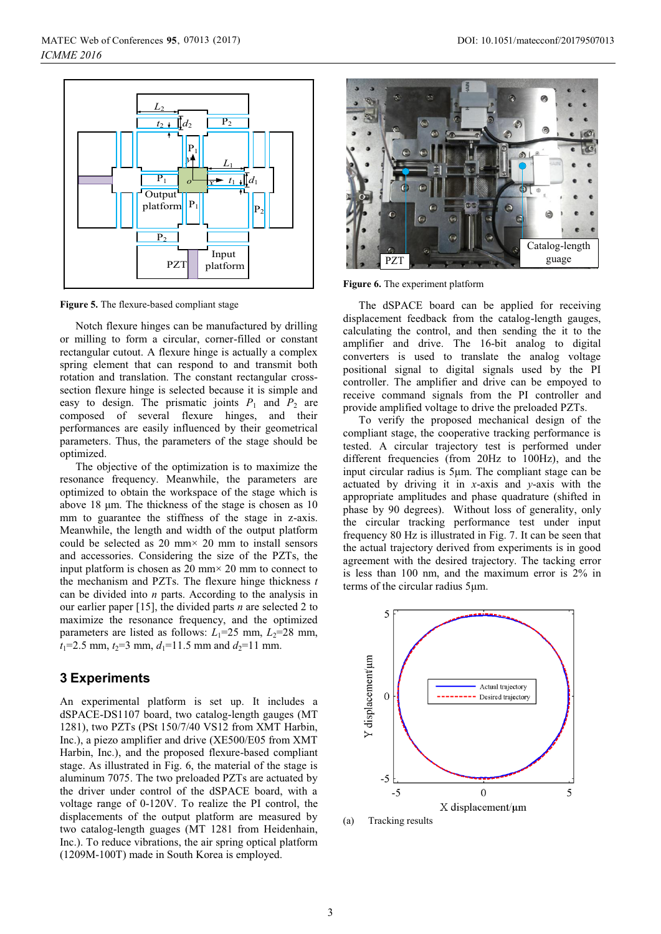

**Figure 5.** The flexure-based compliant stage

Notch flexure hinges can be manufactured by drilling or milling to form a circular, corner-filled or constant rectangular cutout. A flexure hinge is actually a complex spring element that can respond to and transmit both rotation and translation. The constant rectangular crosssection flexure hinge is selected because it is simple and easy to design. The prismatic joints  $P_1$  and  $P_2$  are composed of several flexure hinges, and their performances are easily influenced by their geometrical parameters. Thus, the parameters of the stage should be optimized.

The objective of the optimization is to maximize the resonance frequency. Meanwhile, the parameters are optimized to obtain the workspace of the stage which is above 18 μm. The thickness of the stage is chosen as 10 mm to guarantee the stiffness of the stage in z-axis. Meanwhile, the length and width of the output platform could be selected as  $20 \text{ mm} \times 20 \text{ mm}$  to install sensors and accessories. Considering the size of the PZTs, the input platform is chosen as 20 mm $\times$  20 mm to connect to the mechanism and PZTs. The flexure hinge thickness *t* can be divided into *n* parts. According to the analysis in our earlier paper [15], the divided parts *n* are selected 2 to maximize the resonance frequency, and the optimized parameters are listed as follows:  $L_1$ =25 mm,  $L_2$ =28 mm,  $t_1$ =2.5 mm,  $t_2$ =3 mm,  $d_1$ =11.5 mm and  $d_2$ =11 mm.

### **3 Experiments**

An experimental platform is set up. It includes a dSPACE-DS1107 board, two catalog-length gauges (MT 1281), two PZTs (PSt 150/7/40 VS12 from XMT Harbin, Inc.), a piezo amplifier and drive (XE500/E05 from XMT Harbin, Inc.), and the proposed flexure-based compliant stage. As illustrated in Fig. 6, the material of the stage is aluminum 7075. The two preloaded PZTs are actuated by the driver under control of the dSPACE board, with a voltage range of 0-120V. To realize the PI control, the displacements of the output platform are measured by two catalog-length guages (MT 1281 from Heidenhain, Inc.). To reduce vibrations, the air spring optical platform (1209M-100T) made in South Korea is employed.



**Figure 6.** The experiment platform

The dSPACE board can be applied for receiving displacement feedback from the catalog-length gauges, calculating the control, and then sending the it to the amplifier and drive. The 16-bit analog to digital converters is used to translate the analog voltage positional signal to digital signals used by the PI controller. The amplifier and drive can be empoyed to receive command signals from the PI controller and provide amplified voltage to drive the preloaded PZTs.

To verify the proposed mechanical design of the compliant stage, the cooperative tracking performance is tested. A circular trajectory test is performed under different frequencies (from 20Hz to 100Hz), and the input circular radius is 5μm. The compliant stage can be actuated by driving it in *x*-axis and *y*-axis with the appropriate amplitudes and phase quadrature (shifted in phase by 90 degrees). Without loss of generality, only the circular tracking performance test under input frequency 80 Hz is illustrated in Fig. 7. It can be seen that the actual trajectory derived from experiments is in good agreement with the desired trajectory. The tacking error is less than 100 nm, and the maximum error is 2% in terms of the circular radius 5μm.



(a) Tracking results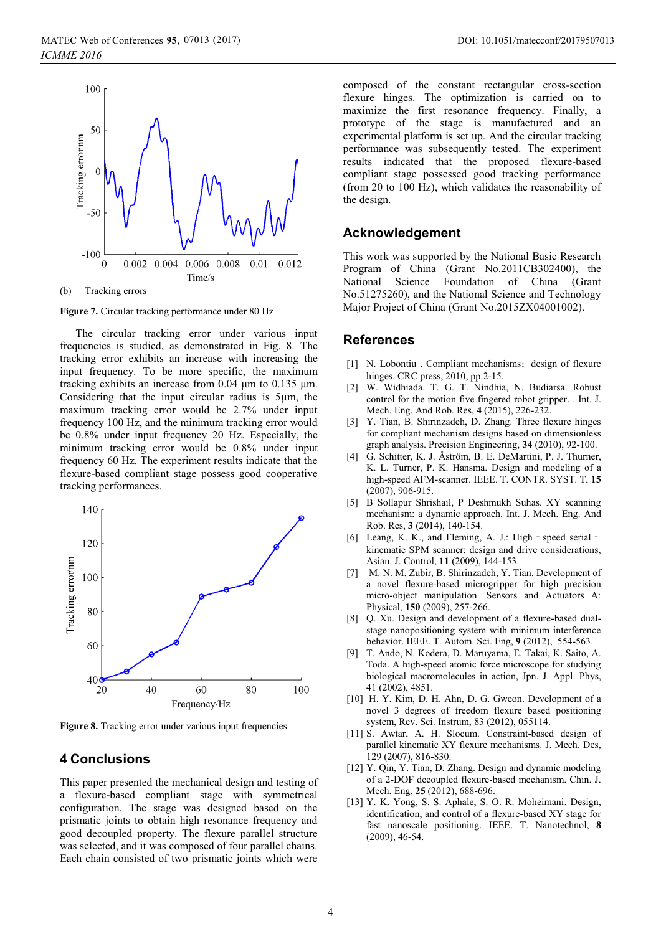

(b) Tracking errors

**Figure 7.** Circular tracking performance under 80 Hz

The circular tracking error under various input frequencies is studied, as demonstrated in Fig. 8. The tracking error exhibits an increase with increasing the input frequency. To be more specific, the maximum tracking exhibits an increase from 0.04 μm to 0.135 μm. Considering that the input circular radius is 5μm, the maximum tracking error would be 2.7% under input frequency 100 Hz, and the minimum tracking error would be 0.8% under input frequency 20 Hz. Especially, the minimum tracking error would be 0.8% under input frequency 60 Hz. The experiment results indicate that the flexure-based compliant stage possess good cooperative tracking performances.



**Figure 8.** Tracking error under various input frequencies

#### **4 Conclusions**

This paper presented the mechanical design and testing of a flexure-based compliant stage with symmetrical configuration. The stage was designed based on the prismatic joints to obtain high resonance frequency and good decoupled property. The flexure parallel structure was selected, and it was composed of four parallel chains. Each chain consisted of two prismatic joints which were

composed of the constant rectangular cross-section flexure hinges. The optimization is carried on to maximize the first resonance frequency. Finally, a prototype of the stage is manufactured and an experimental platform is set up. And the circular tracking performance was subsequently tested. The experiment results indicated that the proposed flexure-based compliant stage possessed good tracking performance (from 20 to 100 Hz), which validates the reasonability of the design.

## **Acknowledgement**

This work was supported by the National Basic Research Program of China (Grant No.2011CB302400), the National Science Foundation of China (Grant No.51275260), and the National Science and Technology Major Project of China (Grant No.2015ZX04001002).

#### **References**

- [1] N. Lobontiu . Compliant mechanisms: design of flexure hinges. CRC press, 2010, pp.2-15.
- [2] W. Widhiada. T. G. T. Nindhia, N. Budiarsa. Robust control for the motion five fingered robot gripper. . Int. J. Mech. Eng. And Rob. Res, **4** (2015), 226-232.
- [3] Y. Tian, B. Shirinzadeh, D. Zhang. Three flexure hinges for compliant mechanism designs based on dimensionless graph analysis. Precision Engineering, **34** (2010), 92-100.
- [4] G. Schitter, K. J. Åström, B. E. DeMartini, P. J. Thurner, K. L. Turner, P. K. Hansma. Design and modeling of a high-speed AFM-scanner. IEEE. T. CONTR. SYST. T, **15** (2007), 906-915.
- [5] B Sollapur Shrishail, P Deshmukh Suhas. XY scanning mechanism: a dynamic approach. Int. J. Mech. Eng. And Rob. Res, **3** (2014), 140-154.
- [6] Leang, K. K., and Fleming, A. J.: High speed serial kinematic SPM scanner: design and drive considerations, Asian. J. Control, **11** (2009), 144-153.
- [7] M. N. M. Zubir, B. Shirinzadeh, Y. Tian. Development of a novel flexure-based microgripper for high precision micro-object manipulation. Sensors and Actuators A: Physical, **150** (2009), 257-266.
- [8] Q. Xu. Design and development of a flexure-based dualstage nanopositioning system with minimum interference behavior. IEEE. T. Autom. Sci. Eng, **9** (2012), 554-563.
- [9] T. Ando, N. Kodera, D. Maruyama, E. Takai, K. Saito, A. Toda. A high-speed atomic force microscope for studying biological macromolecules in action, Jpn. J. Appl. Phys, 41 (2002), 4851.
- [10] H. Y. Kim, D. H. Ahn, D. G. Gweon. Development of a novel 3 degrees of freedom flexure based positioning system, Rev. Sci. Instrum, 83 (2012), 055114.
- [11] S. Awtar, A. H. Slocum. Constraint-based design of parallel kinematic XY flexure mechanisms. J. Mech. Des, 129 (2007), 816-830.
- [12] Y. Qin, Y. Tian, D. Zhang. Design and dynamic modeling of a 2-DOF decoupled flexure-based mechanism. Chin. J. Mech. Eng, **25** (2012), 688-696.
- [13] Y. K. Yong, S. S. Aphale, S. O. R. Moheimani. Design, identification, and control of a flexure-based XY stage for fast nanoscale positioning. IEEE. T. Nanotechnol, **8** (2009), 46-54.